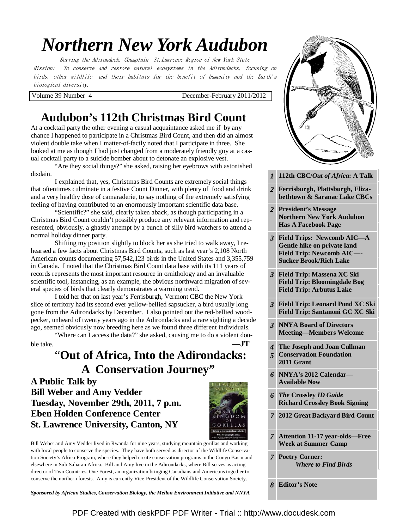# *Northern New York Audubon*

Serving the Adirondack, Champlain, St.Lawrence Region of New York State Mission: To conserve and restore natural ecosystems in the Adirondacks, focusing on birds, other wildlife, and their habitats for the benefit of humanity and the Earth's biological diversity.

Volume 39 Number 4 December-February 2011/2012

## **Audubon's 112th Christmas Bird Count**

At a cocktail party the other evening a casual acquaintance asked me if by any chance I happened to participate in a Christmas Bird Count, and then did an almost violent double take when I matter-of-factly noted that I participate in three. She looked at me as though I had just changed from a moderately friendly guy at a casual cocktail party to a suicide bomber about to detonate an explosive vest.

 "Are they social things?" she asked, raising her eyebrows with astonished disdain.

 I explained that, yes, Christmas Bird Counts are extremely social things that oftentimes culminate in a festive Count Dinner, with plenty of food and drink and a very healthy dose of camaraderie, to say nothing of the extremely satisfying feeling of having contributed to an enormously important scientific data base.

 "Scientific?" she said, clearly taken aback, as though participating in a Christmas Bird Count couldn't possibly produce any relevant information and represented, obviously, a ghastly attempt by a bunch of silly bird watchers to attend a normal holiday dinner party.

 Shifting my position slightly to block her as she tried to walk away, I rehearsed a few facts about Christmas Bird Counts, such as last year's 2,108 North American counts documenting 57,542,123 birds in the United States and 3,355,759 in Canada. I noted that the Christmas Bird Count data base with its 111 years of records represents the most important resource in ornithology and an invaluable scientific tool, instancing, as an example, the obvious northward migration of several species of birds that clearly demonstrates a warming trend.

 I told her that on last year's Ferrisburgh, Vermont CBC the New York slice of territory had its second ever yellow-bellied sapsucker, a bird usually long gone from the Adirondacks by December. I also pointed out the red-bellied woodpecker, unheard of twenty years ago in the Adirondacks and a rare sighting a decade ago, seemed obviously now breeding here as we found three different individuals.

 "Where can I access the data?" she asked, causing me to do a violent double take.  $\qquad \qquad \qquad -JT$ 

## "**Out of Africa, Into the Adirondacks: A Conservation Journey"**

**A Public Talk by Bill Weber and Amy Vedder Tuesday, November 29th, 2011, 7 p.m. Eben Holden Conference Center St. Lawrence University, Canton, NY** 



Bill Weber and Amy Vedder lived in Rwanda for nine years, studying mountain gorillas and working with local people to conserve the species. They have both served as director of the Wildlife Conservation Society's Africa Program, where they helped create conservation programs in the Congo Basin and elsewhere in Sub-Saharan Africa. Bill and Amy live in the Adirondacks, where Bill serves as acting director of Two Countries, One Forest, an organization bringing Canadians and Americans together to conserve the northern forests. Amy is currently Vice-President of the Wildlife Conservation Society.

*Sponsored by African Studies, Conservation Biology, the Mellon Environment Initiative and NNYA* 



- 2 **Ferrisburgh, Plattsburgh, Eliza-2 <b>bethtown & Saranac Lake CBCs**
- **2 President's Message 2 <b>Has A Facebook Page Northern New York Audubon**
- *3* **Field Trips: Newcomb AIC—A** Gentle hike on private land **2 Sucker Brook/Rich Lake Field Trip: Newcomb AIC—-**
- **President's Message**  *3* **Field Trip: Massena XC Ski**  *3* **<b>Field Trip: Arbutus Lake Field Trip: Bloomingdale Bog**
- **3 Field Trip: Leonard Pond XC Ski Newsletter Initiative Field Trip: Santanoni GC XC Ski**
- **3 NNYA Board of Directors Meeting—Members Welcome**
- **The Joseph and Joan Cullman 5 Conservation Foundation Change of Grant <b>Forests Change of Elevation Forests** *Change of Elevation* **Forests <b>***Change of Elevation 4 5*
- *5* **Bicknell's Thrush Habitat Graph**  *6* **NNYA's 2012 Calendar— Osgood River Available Now**
- *6 The Crossley ID Guide 6 <b><i>The Crossley ID Guide* **Richard Crossley Book Signing**
- *7 | 2012 Great Backyard Bird Count*
- **7 Attention 11-17 year-olds—Free Week at Summer Camp**
- *7* **Poetry Corner:**  *Where to Find Birds*
- *8* **Editor's Note**

[PDF Created with deskPDF PDF Writer - Trial :: http://www.docudesk.com](http://www.docudesk.com)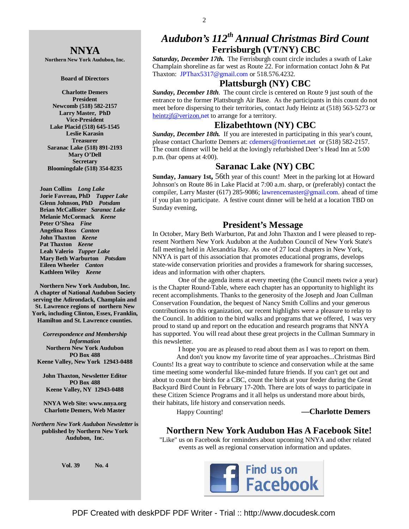#### **NNYA**

**Northern New York Audubon, Inc.** 

#### **Board of Directors**

**Charlotte Demers President Newcomb (518) 582-2157 Larry Master, PhD Vice-President Lake Placid (518) 645-1545 Leslie Karasin Treasurer Saranac Lake (518) 891-2193 Mary O'Dell Secretary Bloomingdale (518) 354-8235** 

 **Joan Collins** *Long Lake*   **Jorie Favreau, PhD** *Tupper Lake*  **Glenn Johnson, PhD** *Potsdam*   **Brian McCallister** *Saranac Lake*   **Melanie McCormack** *Keene*   **Peter O'Shea** *Fine*   **Angelina Ross** *Canton* **John Thaxton** *Keene* **Pat Thaxton** *Keene* **Leah Valerio** *Tupper Lake*   **Mary Beth Warburton** *Potsdam*   **Eileen Wheeler** *Canton* **Kathleen Wiley** *Keene* 

**Northern New York Audubon, Inc. A chapter of National Audubon Society serving the Adirondack, Champlain and St. Lawrence regions of northern New York, including Clinton, Essex, Franklin, Hamilton and St. Lawrence counties.** 

*Correspondence and Membership Information* **Northern New York Audubon PO Box 488 Keene Valley, New York 12943-0488** 

**John Thaxton, Newsletter Editor PO Box 488 Keene Valley, NY 12943-0488** 

**NNYA Web Site: www.nnya.org Charlotte Demers, Web Master**

*Northern New York Audubon Newsletter* **is published by Northern New York Audubon, Inc.** 

**Vol. 39 No. 4** 

## *Audubon's 112th Annual Christmas Bird Count*  **Ferrisburgh (VT/NY) CBC**

*Saturday, December 17th.* The Ferrisburgh count circle includes a swath of Lake Champlain shoreline as far west as Route 22. For information contact John & Pat Thaxton: JPThax5317@gmail.com or 518.576.4232.

#### **Plattsburgh (NY) CBC**

*Sunday, December 18th*. The count circle is centered on Route 9 just south of the entrance to the former Plattsburgh Air Base. As the participants in this count do not meet before dispersing to their territories, contact Judy Heintz at (518) 563-5273 or heintzjf@verizon.net to arrange for a territory.

#### **Elizabethtown (NY) CBC**

*Sunday, December 18th.* If you are interested in participating in this year's count, please contact Charlotte Demers at: cdemers@frontiernet.net or (518) 582-2157. The count dinner will be held at the lovingly refurbished Deer's Head Inn at 5:00 p.m. (bar opens at 4:00).

#### **Saranac Lake (NY) CBC**

**Sunday, January 1st,** 56th year of this count! Meet in the parking lot at Howard Johnson's on Route 86 in Lake Placid at 7:00 a.m. sharp, or (preferably) contact the compiler, Larry Master (617) 285-9086; lawrencemaster@gmail.com. ahead of time if you plan to participate. A festive count dinner will be held at a location TBD on Sunday evening,

#### **President's Message**

In October, Mary Beth Warburton, Pat and John Thaxton and I were pleased to represent Northern New York Audubon at the Audubon Council of New York State's fall meeting held in Alexandria Bay. As one of 27 local chapters in New York, NNYA is part of this association that promotes educational programs, develops state-wide conservation priorities and provides a framework for sharing successes, ideas and information with other chapters.

 One of the agenda items at every meeting (the Council meets twice a year) is the Chapter Round-Table, where each chapter has an opportunity to highlight its recent accomplishments. Thanks to the generosity of the Joseph and Joan Cullman Conservation Foundation, the bequest of Nancy Smith Collins and your generous contributions to this organization, our recent highlights were a pleasure to relay to the Council. In addition to the bird walks and programs that we offered, I was very proud to stand up and report on the education and research programs that NNYA has supported. You will read about these great projects in the Cullman Summary in this newsletter.

 I hope you are as pleased to read about them as I was to report on them. And don't you know my favorite time of year approaches...Christmas Bird Counts! Its a great way to contribute to science and conservation while at the same time meeting some wonderful like-minded future friends. If you can't get out and about to count the birds for a CBC, count the birds at your feeder during the Great Backyard Bird Count in February 17-20th. There are lots of ways to participate in these Citizen Science Programs and it all helps us understand more about birds, their habitats, life history and conservation needs.

#### Happy Counting! **—Charlotte Demers**

#### **Northern New York Audubon Has A Facebook Site!**

"Like" us on Facebook for reminders about upcoming NNYA and other related events as well as regional conservation information and updates.

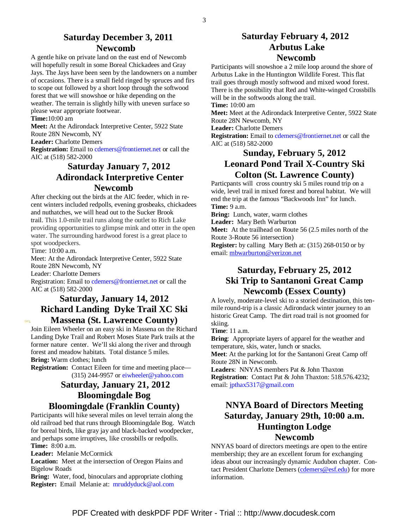#### **Saturday December 3, 2011 Newcomb**

A gentle hike on private land on the east end of Newcomb will hopefully result in some Boreal Chickadees and Gray Jays. The Jays have been seen by the landowners on a number of occasions. There is a small field ringed by spruces and firs to scope out followed by a short loop through the softwood forest that we will snowshoe or hike depending on the weather. The terrain is slightly hilly with uneven surface so please wear appropriate footwear.

#### **Time:**10:00 am

**Meet:** At the Adirondack Interpretive Center, 5922 State Route 28N Newcomb, NY

**Leader:** Charlotte Demers

**Registration:** Email to cdemers@frontiernet.net or call the AIC at (518) 582-2000

### **Saturday January 7, 2012 Adirondack Interpretive Center Newcomb**

After checking out the birds at the AIC feeder, which in recent winters included redpolls, evening grosbeaks, chickadees and nuthatches, we will head out to the Sucker Brook trail. This 1.0-mile trail runs along the outlet to Rich Lake providing opportunities to glimpse mink and otter in the open water. The surrounding hardwood forest is a great place to spot woodpeckers.

Time: 10:00 a.m.

**Contract** 

Meet: At the Adirondack Interpretive Center, 5922 State Route 28N Newcomb, NY Leader: Charlotte Demers

Registration: Email to cdemers@frontiernet.net or call the AIC at (518) 582-2000

#### **Saturday, January 14, 2012 Richard Landing Dyke Trail XC Ski Massena (St. Lawrence County)**

Join Eileen Wheeler on an easy ski in Massena on the Richard Landing Dyke Trail and Robert Moses State Park trails at the former nature center. We'll ski along the river and through forest and meadow habitats. Total distance 5 miles. **Bring:** Warm clothes; lunch

**Registration:** Contact Eileen for time and meeting place— (315) 244-9957 or eiwheeler@yahoo.com

### **Saturday, January 21, 2012 Bloomingdale Bog Bloomingdale (Franklin County)**

Participants will hike several miles on level terrain along the old railroad bed that runs through Bloomingdale Bog. Watch for boreal birds, like gray jay and black-backed woodpecker, and perhaps some irruptives, like crossbills or redpolls. **Time:** 8:00 a.m.

**Leader:** Melanie McCormick

**Location:** Meet at the intersection of Oregon Plains and Bigelow Roads

**Bring:** Water, food, binoculars and appropriate clothing **Register:** Email Melanie at: mruddyduck@aol.com

#### **Saturday February 4, 2012 Arbutus Lake Newcomb**

Participants will snowshoe a 2 mile loop around the shore of Arbutus Lake in the Huntington Wildlife Forest. This flat trail goes through mostly softwood and mixed wood forest. There is the possibility that Red and White-winged Crossbills will be in the softwoods along the trail.

**Time:** 10:00 am

**Meet:** Meet at the Adirondack Interpretive Center, 5922 State Route 28N Newcomb, NY

**Leader:** Charlotte Demers

**Registration:** Email to cdemers@frontiernet.net or call the AIC at (518) 582-2000

### **Sunday, February 5, 2012 Leonard Pond Trail X-Country Ski Colton (St. Lawrence County)**

Particpants will cross country ski 5 miles round trip on a wide, level trail in mixed forest and boreal habitat. We will end the trip at the famous "Backwoods Inn" for lunch. **Time:** 9 a.m.

**Bring:** Lunch, water, warm clothes

**Leader:** Mary Beth Warburton

**Meet:** At the trailhead on Route 56 (2.5 miles north of the Route 3-Route 56 intersection)

**Register:** by calling Mary Beth at: (315) 268-0150 or by email: mbwarburton@verizon.net

### **Saturday, February 25, 2012 Ski Trip to Santanoni Great Camp Newcomb (Essex County)**

A lovely, moderate-level ski to a storied destination, this tenmile round-trip is a classic Adirondack winter journey to an historic Great Camp. The dirt road trail is not groomed for skiing.

**Time**: 11 a.m.

**Bring**: Appropriate layers of apparel for the weather and temperature, skis, water, lunch or snacks.

**Meet**: At the parking lot for the Santanoni Great Camp off Route 28N in Newcomb.

**Leaders**: NNYAS members Pat & John Thaxton **Registration**: Contact Pat & John Thaxton: 518.576.4232; email: jpthax5317@gmail.com

### **NNYA Board of Directors Meeting Saturday, January 29th, 10:00 a.m. Huntington Lodge Newcomb**

NNYAS board of directors meetings are open to the entire membership; they are an excellent forum for exchanging ideas about our increasingly dynamic Audubon chapter. Contact President Charlotte Demers (cdemers@esf.edu) for more information.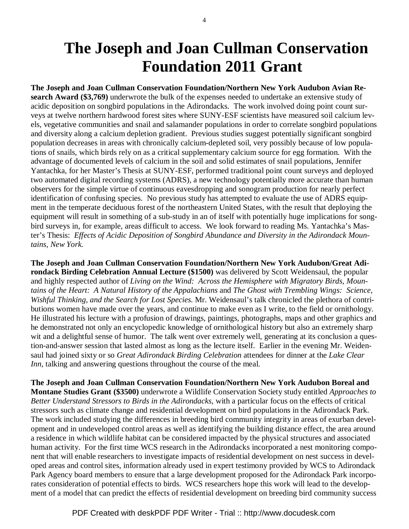## **The Joseph and Joan Cullman Conservation Foundation 2011 Grant**

**The Joseph and Joan Cullman Conservation Foundation/Northern New York Audubon Avian Research Award (\$3,769)** underwrote the bulk of the expenses needed to undertake an extensive study of acidic deposition on songbird populations in the Adirondacks. The work involved doing point count surveys at twelve northern hardwood forest sites where SUNY-ESF scientists have measured soil calcium levels, vegetative communities and snail and salamander populations in order to correlate songbird populations and diversity along a calcium depletion gradient. Previous studies suggest potentially significant songbird population decreases in areas with chronically calcium-depleted soil, very possibly because of low populations of snails, which birds rely on as a critical supplementary calcium source for egg formation. With the advantage of documented levels of calcium in the soil and solid estimates of snail populations, Jennifer Yantachka, for her Master's Thesis at SUNY-ESF, performed traditional point count surveys and deployed two automated digital recording systems (ADRS), a new technology potentially more accurate than human observers for the simple virtue of continuous eavesdropping and sonogram production for nearly perfect identification of confusing species. No previous study has attempted to evaluate the use of ADRS equipment in the temperate deciduous forest of the northeastern United States, with the result that deploying the equipment will result in something of a sub-study in an of itself with potentially huge implications for songbird surveys in, for example, areas difficult to access. We look forward to reading Ms. Yantachka's Master's Thesis: *Effects of Acidic Deposition of Songbird Abundance and Diversity in the Adirondack Mountains, New York.*

**The Joseph and Joan Cullman Conservation Foundation/Northern New York Audubon/Great Adirondack Birding Celebration Annual Lecture (\$1500)** was delivered by Scott Weidensaul, the popular and highly respected author of *Living on the Wind: Across the Hemisphere with Migratory Birds, Mountains of the Heart: A Natural History of the Appalachians* and *The Ghost with Trembling Wings: Science, Wishful Thinking, and the Search for Lost Species.* Mr. Weidensaul's talk chronicled the plethora of contributions women have made over the years, and continue to make even as I write, to the field or ornithology. He illustrated his lecture with a profusion of drawings, paintings, photographs, maps and other graphics and he demonstrated not only an encyclopedic knowledge of ornithological history but also an extremely sharp wit and a delightful sense of humor. The talk went over extremely well, generating at its conclusion a question-and-answer session that lasted almost as long as the lecture itself. Earlier in the evening Mr. Weidensaul had joined sixty or so *Great Adirondack Birding Celebration* attendees for dinner at the *Lake Clear Inn*, talking and answering questions throughout the course of the meal.

**The Joseph and Joan Cullman Conservation Foundation/Northern New York Audubon Boreal and Montane Studies Grant (\$3500)** underwrote a Wildlife Conservation Society study entitled *Approaches to Better Understand Stressors to Birds in the Adirondacks*, with a particular focus on the effects of critical stressors such as climate change and residential development on bird populations in the Adirondack Park. The work included studying the differences in breeding bird community integrity in areas of exurban development and in undeveloped control areas as well as identifying the building distance effect, the area around a residence in which wildlife habitat can be considered impacted by the physical structures and associated human activity. For the first time WCS research in the Adirondacks incorporated a nest monitoring component that will enable researchers to investigate impacts of residential development on nest success in developed areas and control sites, information already used in expert testimony provided by WCS to Adirondack Park Agency board members to ensure that a large development proposed for the Adirondack Park incorporates consideration of potential effects to birds. WCS researchers hope this work will lead to the development of a model that can predict the effects of residential development on breeding bird community success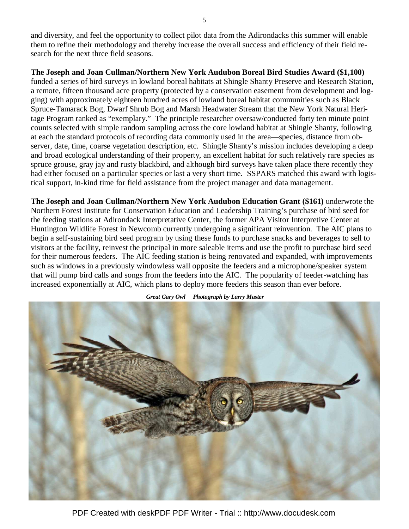and diversity, and feel the opportunity to collect pilot data from the Adirondacks this summer will enable them to refine their methodology and thereby increase the overall success and efficiency of their field research for the next three field seasons.

**The Joseph and Joan Cullman/Northern New York Audubon Boreal Bird Studies Award (\$1,100)** 

funded a series of bird surveys in lowland boreal habitats at Shingle Shanty Preserve and Research Station, a remote, fifteen thousand acre property (protected by a conservation easement from development and logging) with approximately eighteen hundred acres of lowland boreal habitat communities such as Black Spruce-Tamarack Bog, Dwarf Shrub Bog and Marsh Headwater Stream that the New York Natural Heritage Program ranked as "exemplary." The principle researcher oversaw/conducted forty ten minute point counts selected with simple random sampling across the core lowland habitat at Shingle Shanty, following at each the standard protocols of recording data commonly used in the area—species, distance from observer, date, time, coarse vegetation description, etc. Shingle Shanty's mission includes developing a deep and broad ecological understanding of their property, an excellent habitat for such relatively rare species as spruce grouse, gray jay and rusty blackbird, and although bird surveys have taken place there recently they had either focused on a particular species or last a very short time. SSPARS matched this award with logistical support, in-kind time for field assistance from the project manager and data management.

**The Joseph and Joan Cullman/Northern New York Audubon Education Grant (\$161)** underwrote the Northern Forest Institute for Conservation Education and Leadership Training's purchase of bird seed for the feeding stations at Adirondack Interpretative Center, the former APA Visitor Interpretive Center at Huntington Wildlife Forest in Newcomb currently undergoing a significant reinvention. The AIC plans to begin a self-sustaining bird seed program by using these funds to purchase snacks and beverages to sell to visitors at the facility, reinvest the principal in more saleable items and use the profit to purchase bird seed for their numerous feeders. The AIC feeding station is being renovated and expanded, with improvements such as windows in a previously windowless wall opposite the feeders and a microphone/speaker system that will pump bird calls and songs from the feeders into the AIC. The popularity of feeder-watching has increased exponentially at AIC, which plans to deploy more feeders this season than ever before.



 *Great Gary Owl Photograph by Larry Master* 

PDF Created with deskPDF PDF Writer - Trial :: http://www.docudesk.com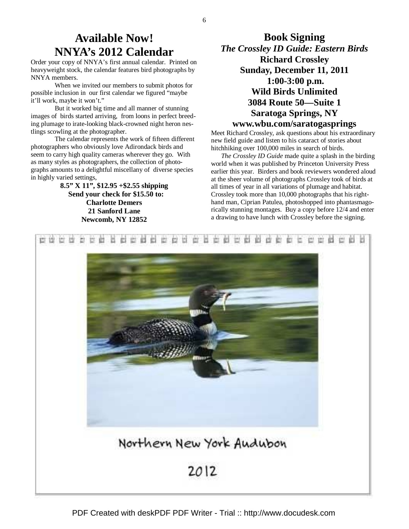## **Available Now! NNYA's 2012 Calendar**

Order your copy of NNYA's first annual calendar. Printed on heavyweight stock, the calendar features bird photographs by NNYA members.

 When we invited our members to submit photos for possible inclusion in our first calendar we figured "maybe it'll work, maybe it won't."

 But it worked big time and all manner of stunning images of birds started arriving, from loons in perfect breeding plumage to irate-looking black-crowned night heron nestlings scowling at the photographer.

 The calendar represents the work of fifteen different photographers who obviously love Adirondack birds and seem to carry high quality cameras wherever they go. With as many styles as photographers, the collection of photographs amounts to a delightful miscellany of diverse species in highly varied settings,

> **8.5" X 11", \$12.95 +\$2.55 shipping Send your check for \$15.50 to: Charlotte Demers 21 Sanford Lane Newcomb, NY 12852**

## **Book Signing**  *The Crossley ID Guide: Eastern Birds*  **Richard Crossley Sunday, December 11, 2011 1:00-3:00 p.m. Wild Birds Unlimited 3084 Route 50—Suite 1 Saratoga Springs, NY www.wbu.com/saratogasprings**

Meet Richard Crossley, ask questions about his extraordinary new field guide and listen to his cataract of stories about hitchhiking over 100,000 miles in search of birds.

 *The Crossley ID Guide* made quite a splash in the birding world when it was published by Princeton University Press earlier this year. Birders and book reviewers wondered aloud at the sheer volume of photographs Crossley took of birds at all times of year in all variations of plumage and habitat. Crossley took more than 10,000 photographs that his righthand man, Ciprian Patulea, photoshopped into phantasmagorically stunning montages. Buy a copy before 12/4 and enter a drawing to have lunch with Crossley before the signing.

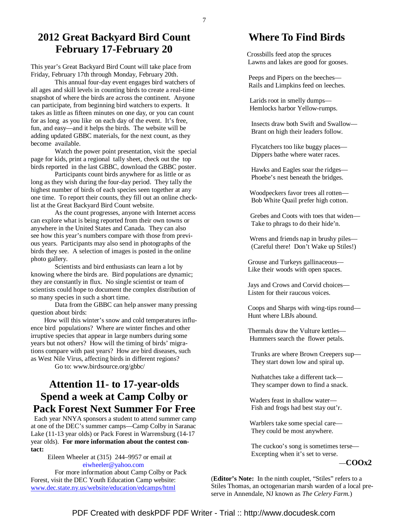## **2012 Great Backyard Bird Count February 17-February 20**

This year's Great Backyard Bird Count will take place from Friday, February 17th through Monday, February 20th.

 This annual four-day event engages bird watchers of all ages and skill levels in counting birds to create a real-time snapshot of where the birds are across the continent. Anyone can participate, from beginning bird watchers to experts. It takes as little as fifteen minutes on one day, or you can count for as long as you like on each day of the event. It's free, fun, and easy—and it helps the birds. The website will be adding updated GBBC materials, for the next count, as they become available.

 Watch the power point presentation, visit the special page for kids, print a regional tally sheet, check out the top birds reported in the last GBBC, download the GBBC poster.

 Participants count birds anywhere for as little or as long as they wish during the four-day period. They tally the highest number of birds of each species seen together at any one time. To report their counts, they fill out an online checklist at the Great Backyard Bird Count website.

 As the count progresses, anyone with Internet access can explore what is being reported from their own towns or anywhere in the United States and Canada. They can also see how this year's numbers compare with those from previous years. Participants may also send in photographs of the birds they see. A selection of images is posted in the online photo gallery.

Scientists and bird enthusiasts can learn a lot by knowing where the birds are. Bird populations are dynamic; they are constantly in flux. No single scientist or team of scientists could hope to document the complex distribution of so many species in such a short time.

 Data from the GBBC can help answer many pressing question about birds:

 How will this winter's snow and cold temperatures influence bird populations? Where are winter finches and other irruptive species that appear in large numbers during some years but not others? How will the timing of birds' migrations compare with past years? How are bird diseases, such as West Nile Virus, affecting birds in different regions?

Go to: www.birdsource.org/gbbc/

## **Attention 11- to 17-year-olds Spend a week at Camp Colby or Pack Forest Next Summer For Free**

 Each year NNYA sponsors a student to attend summer camp at one of the DEC's summer camps—Camp Colby in Saranac Lake (11-13 year olds) or Pack Forest in Warrensburg (14-17 year olds). **For more information about the contest contact:**

> Eileen Wheeler at (315) 244–9957 or email at eiwheeler@yahoo.com

 For more information about Camp Colby or Pack Forest, visit the DEC Youth Education Camp website: www.dec.state.ny.us/website/education/edcamps/html

### **Where To Find Birds**

 Crossbills feed atop the spruces Lawns and lakes are good for gooses.

 Peeps and Pipers on the beeches— Rails and Limpkins feed on leeches.

 Larids root in smelly dumps— Hemlocks harbor Yellow-rumps.

 Insects draw both Swift and Swallow— Brant on high their leaders follow.

 Flycatchers too like buggy places— Dippers bathe where water races.

 Hawks and Eagles soar the ridges— Phoebe's nest beneath the bridges.

 Woodpeckers favor trees all rotten— Bob White Quail prefer high cotton.

 Grebes and Coots with toes that widen— Take to phrags to do their hide'n.

 Wrens and friends nap in brushy piles— (Careful there! Don't Wake up Stiles!)

 Grouse and Turkeys gallinaceous— Like their woods with open spaces.

 Jays and Crows and Corvid choices— Listen for their raucous voices.

 Coops and Sharps with wing-tips round— Hunt where LBJs abound.

 Thermals draw the Vulture kettles— Hummers search the flower petals.

 Trunks are where Brown Creepers sup— They start down low and spiral up.

 Nuthatches take a different tack— They scamper down to find a snack.

 Waders feast in shallow water— Fish and frogs had best stay out'r.

 Warblers take some special care— They could be most anywhere.

 The cuckoo's song is sometimes terse— Excepting when it's set to verse.

—**COOx2** 

(**Editor's Note:** In the ninth couplet, "Stiles" refers to a Stiles Thomas, an octogenarian marsh warden of a local preserve in Annendale, NJ known as *The Celery Farm.*)